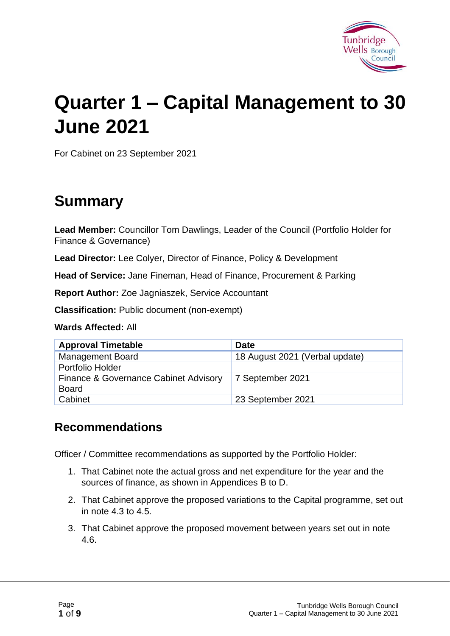

# **Quarter 1 – Capital Management to 30 June 2021**

For Cabinet on 23 September 2021

# **Summary**

**Lead Member:** Councillor Tom Dawlings, Leader of the Council (Portfolio Holder for Finance & Governance)

**Lead Director:** Lee Colyer, Director of Finance, Policy & Development

**Head of Service:** Jane Fineman, Head of Finance, Procurement & Parking

**Report Author:** Zoe Jagniaszek, Service Accountant

**Classification:** Public document (non-exempt)

**Wards Affected:** All

| <b>Approval Timetable</b>                             | <b>Date</b>                    |
|-------------------------------------------------------|--------------------------------|
| <b>Management Board</b>                               | 18 August 2021 (Verbal update) |
| Portfolio Holder                                      |                                |
| Finance & Governance Cabinet Advisory<br><b>Board</b> | 7 September 2021               |
| Cabinet                                               | 23 September 2021              |

#### **Recommendations**

Officer / Committee recommendations as supported by the Portfolio Holder:

- 1. That Cabinet note the actual gross and net expenditure for the year and the sources of finance, as shown in Appendices B to D.
- 2. That Cabinet approve the proposed variations to the Capital programme, set out in note 4.3 to 4.5.
- 3. That Cabinet approve the proposed movement between years set out in note 4.6.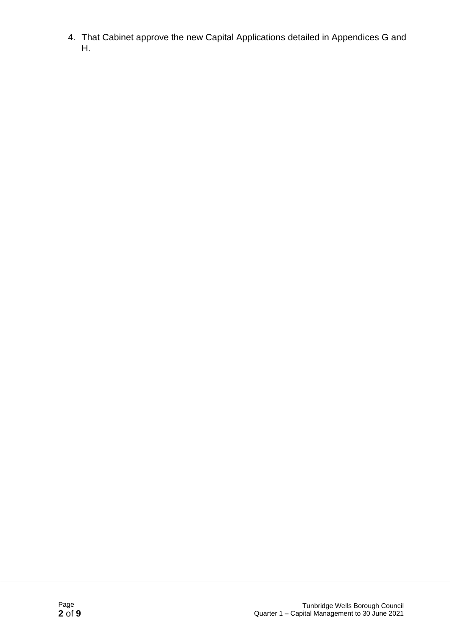4. That Cabinet approve the new Capital Applications detailed in Appendices G and H.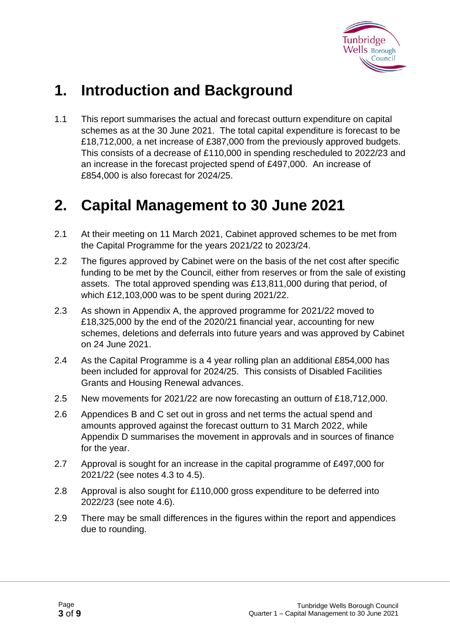

# **1. Introduction and Background**

1.1 This report summarises the actual and forecast outturn expenditure on capital schemes as at the 30 June 2021. The total capital expenditure is forecast to be £18,712,000, a net increase of £387,000 from the previously approved budgets. This consists of a decrease of £110,000 in spending rescheduled to 2022/23 and an increase in the forecast projected spend of £497,000. An increase of £854,000 is also forecast for 2024/25.

### **2. Capital Management to 30 June 2021**

- 2.1 At their meeting on 11 March 2021, Cabinet approved schemes to be met from the Capital Programme for the years 2021/22 to 2023/24.
- 2.2 The figures approved by Cabinet were on the basis of the net cost after specific funding to be met by the Council, either from reserves or from the sale of existing assets. The total approved spending was £13,811,000 during that period, of which £12,103,000 was to be spent during 2021/22.
- 2.3 As shown in Appendix A, the approved programme for 2021/22 moved to £18,325,000 by the end of the 2020/21 financial year, accounting for new schemes, deletions and deferrals into future years and was approved by Cabinet on 24 June 2021.
- 2.4 As the Capital Programme is a 4 year rolling plan an additional £854,000 has been included for approval for 2024/25. This consists of Disabled Facilities Grants and Housing Renewal advances.
- 2.5 New movements for 2021/22 are now forecasting an outturn of £18,712,000.
- 2.6 Appendices B and C set out in gross and net terms the actual spend and amounts approved against the forecast outturn to 31 March 2022, while Appendix D summarises the movement in approvals and in sources of finance for the year.
- 2.7 Approval is sought for an increase in the capital programme of £497,000 for 2021/22 (see notes 4.3 to 4.5).
- 2.8 Approval is also sought for £110,000 gross expenditure to be deferred into 2022/23 (see note 4.6).
- 2.9 There may be small differences in the figures within the report and appendices due to rounding.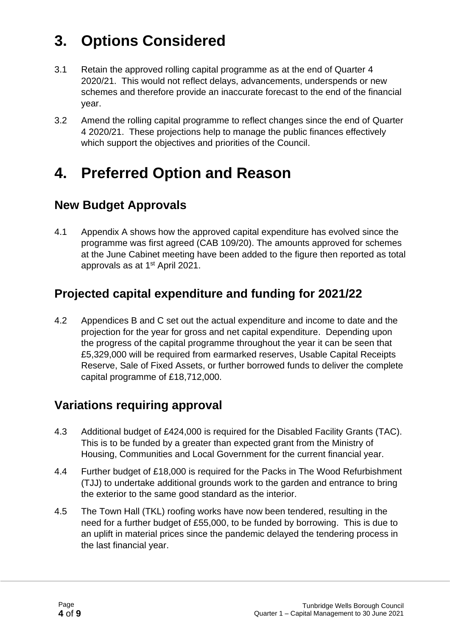# **3. Options Considered**

- 3.1 Retain the approved rolling capital programme as at the end of Quarter 4 2020/21. This would not reflect delays, advancements, underspends or new schemes and therefore provide an inaccurate forecast to the end of the financial year.
- 3.2 Amend the rolling capital programme to reflect changes since the end of Quarter 4 2020/21. These projections help to manage the public finances effectively which support the objectives and priorities of the Council.

# **4. Preferred Option and Reason**

#### **New Budget Approvals**

4.1 Appendix A shows how the approved capital expenditure has evolved since the programme was first agreed (CAB 109/20). The amounts approved for schemes at the June Cabinet meeting have been added to the figure then reported as total approvals as at 1<sup>st</sup> April 2021.

#### **Projected capital expenditure and funding for 2021/22**

4.2 Appendices B and C set out the actual expenditure and income to date and the projection for the year for gross and net capital expenditure. Depending upon the progress of the capital programme throughout the year it can be seen that £5,329,000 will be required from earmarked reserves, Usable Capital Receipts Reserve, Sale of Fixed Assets, or further borrowed funds to deliver the complete capital programme of £18,712,000.

#### **Variations requiring approval**

- 4.3 Additional budget of £424,000 is required for the Disabled Facility Grants (TAC). This is to be funded by a greater than expected grant from the Ministry of Housing, Communities and Local Government for the current financial year.
- 4.4 Further budget of £18,000 is required for the Packs in The Wood Refurbishment (TJJ) to undertake additional grounds work to the garden and entrance to bring the exterior to the same good standard as the interior.
- 4.5 The Town Hall (TKL) roofing works have now been tendered, resulting in the need for a further budget of £55,000, to be funded by borrowing. This is due to an uplift in material prices since the pandemic delayed the tendering process in the last financial year.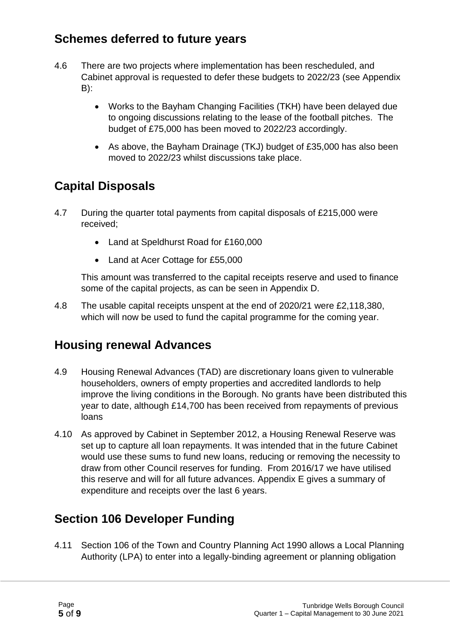#### **Schemes deferred to future years**

- 4.6 There are two projects where implementation has been rescheduled, and Cabinet approval is requested to defer these budgets to 2022/23 (see Appendix B):
	- Works to the Bayham Changing Facilities (TKH) have been delayed due to ongoing discussions relating to the lease of the football pitches. The budget of £75,000 has been moved to 2022/23 accordingly.
	- As above, the Bayham Drainage (TKJ) budget of £35,000 has also been moved to 2022/23 whilst discussions take place.

### **Capital Disposals**

- 4.7 During the quarter total payments from capital disposals of £215,000 were received;
	- Land at Speldhurst Road for £160,000
	- Land at Acer Cottage for £55,000

This amount was transferred to the capital receipts reserve and used to finance some of the capital projects, as can be seen in Appendix D.

4.8 The usable capital receipts unspent at the end of 2020/21 were £2,118,380, which will now be used to fund the capital programme for the coming year.

#### **Housing renewal Advances**

- 4.9 Housing Renewal Advances (TAD) are discretionary loans given to vulnerable householders, owners of empty properties and accredited landlords to help improve the living conditions in the Borough. No grants have been distributed this year to date, although £14,700 has been received from repayments of previous loans
- 4.10 As approved by Cabinet in September 2012, a Housing Renewal Reserve was set up to capture all loan repayments. It was intended that in the future Cabinet would use these sums to fund new loans, reducing or removing the necessity to draw from other Council reserves for funding. From 2016/17 we have utilised this reserve and will for all future advances. Appendix E gives a summary of expenditure and receipts over the last 6 years.

#### **Section 106 Developer Funding**

4.11 Section 106 of the Town and Country Planning Act 1990 allows a Local Planning Authority (LPA) to enter into a legally-binding agreement or planning obligation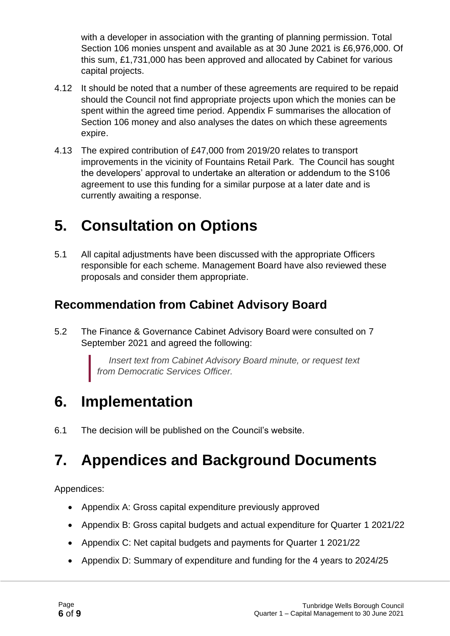with a developer in association with the granting of planning permission. Total Section 106 monies unspent and available as at 30 June 2021 is £6,976,000. Of this sum, £1,731,000 has been approved and allocated by Cabinet for various capital projects.

- 4.12 It should be noted that a number of these agreements are required to be repaid should the Council not find appropriate projects upon which the monies can be spent within the agreed time period. Appendix F summarises the allocation of Section 106 money and also analyses the dates on which these agreements expire.
- 4.13 The expired contribution of £47,000 from 2019/20 relates to transport improvements in the vicinity of Fountains Retail Park. The Council has sought the developers' approval to undertake an alteration or addendum to the S106 agreement to use this funding for a similar purpose at a later date and is currently awaiting a response.

# **5. Consultation on Options**

5.1 All capital adjustments have been discussed with the appropriate Officers responsible for each scheme. Management Board have also reviewed these proposals and consider them appropriate.

#### **Recommendation from Cabinet Advisory Board**

5.2 The Finance & Governance Cabinet Advisory Board were consulted on 7 September 2021 and agreed the following:

> *Insert text from Cabinet Advisory Board minute, or request text from Democratic Services Officer.*

# **6. Implementation**

6.1 The decision will be published on the Council's website.

# **7. Appendices and Background Documents**

Appendices:

- Appendix A: Gross capital expenditure previously approved
- Appendix B: Gross capital budgets and actual expenditure for Quarter 1 2021/22
- Appendix C: Net capital budgets and payments for Quarter 1 2021/22
- Appendix D: Summary of expenditure and funding for the 4 years to 2024/25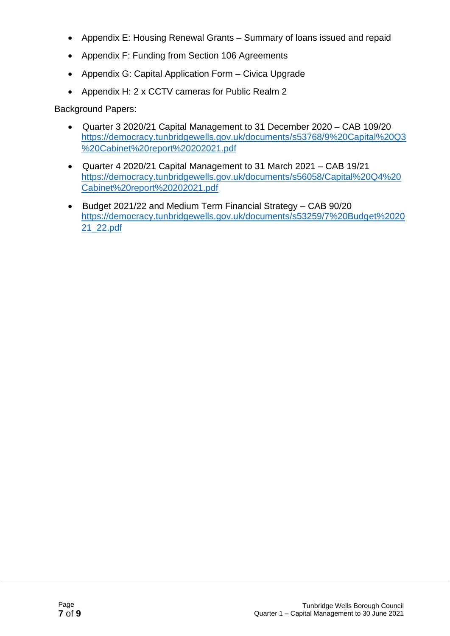- Appendix E: Housing Renewal Grants Summary of loans issued and repaid
- Appendix F: Funding from Section 106 Agreements
- Appendix G: Capital Application Form Civica Upgrade
- Appendix H: 2 x CCTV cameras for Public Realm 2

Background Papers:

- Quarter 3 2020/21 Capital Management to 31 December 2020 CAB 109/20 https://democracy.tunbridgewells.gov.uk/documents/s53768/9%20Capital%20Q3 %20Cabinet%20report%20202021.pdf
- Quarter 4 2020/21 Capital Management to 31 March 2021 CAB 19/21 https://democracy.tunbridgewells.gov.uk/documents/s56058/Capital%20Q4%20 Cabinet%20report%20202021.pdf
- Budget 2021/22 and Medium Term Financial Strategy CAB 90/20 https://democracy.tunbridgewells.gov.uk/documents/s53259/7%20Budget%2020 21\_22.pdf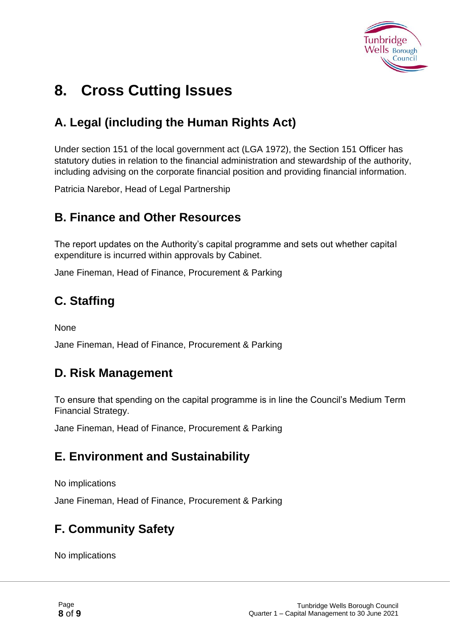

# **8. Cross Cutting Issues**

### **A. Legal (including the Human Rights Act)**

Under section 151 of the local government act (LGA 1972), the Section 151 Officer has statutory duties in relation to the financial administration and stewardship of the authority, including advising on the corporate financial position and providing financial information.

Patricia Narebor, Head of Legal Partnership

#### **B. Finance and Other Resources**

The report updates on the Authority's capital programme and sets out whether capital expenditure is incurred within approvals by Cabinet.

Jane Fineman, Head of Finance, Procurement & Parking

### **C. Staffing**

None

Jane Fineman, Head of Finance, Procurement & Parking

#### **D. Risk Management**

To ensure that spending on the capital programme is in line the Council's Medium Term Financial Strategy.

Jane Fineman, Head of Finance, Procurement & Parking

#### **E. Environment and Sustainability**

No implications

Jane Fineman, Head of Finance, Procurement & Parking

### **F. Community Safety**

No implications